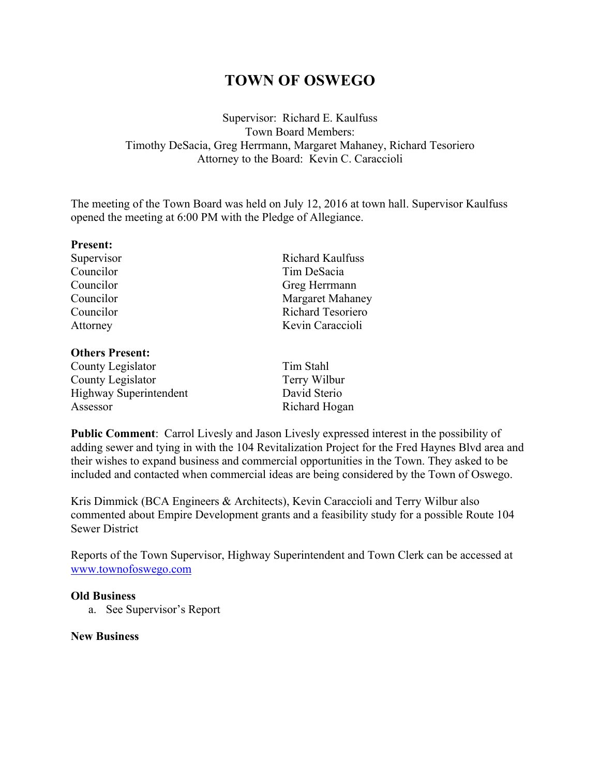# **TOWN OF OSWEGO**

Supervisor: Richard E. Kaulfuss Town Board Members: Timothy DeSacia, Greg Herrmann, Margaret Mahaney, Richard Tesoriero Attorney to the Board: Kevin C. Caraccioli

The meeting of the Town Board was held on July 12, 2016 at town hall. Supervisor Kaulfuss opened the meeting at 6:00 PM with the Pledge of Allegiance.

| <b>Present:</b> |                         |  |
|-----------------|-------------------------|--|
| Supervisor      | <b>Richard Kaulfuss</b> |  |
| Councilor       | Tim DeSacia             |  |
| Councilor       | Greg Herrmann           |  |
| Councilor       | <b>Margaret Mahaney</b> |  |
| Councilor       | Richard Tesoriero       |  |
| Attorney        | Kevin Caraccioli        |  |
|                 |                         |  |

### **Others Present:**

County Legislator Tim Stahl County Legislator Terry Wilbur Highway Superintendent David Sterio Assessor Richard Hogan

**Public Comment**: Carrol Livesly and Jason Livesly expressed interest in the possibility of adding sewer and tying in with the 104 Revitalization Project for the Fred Haynes Blvd area and their wishes to expand business and commercial opportunities in the Town. They asked to be included and contacted when commercial ideas are being considered by the Town of Oswego.

Kris Dimmick (BCA Engineers & Architects), Kevin Caraccioli and Terry Wilbur also commented about Empire Development grants and a feasibility study for a possible Route 104 Sewer District

Reports of the Town Supervisor, Highway Superintendent and Town Clerk can be accessed at www.townofoswego.com

#### **Old Business**

a. See Supervisor's Report

## **New Business**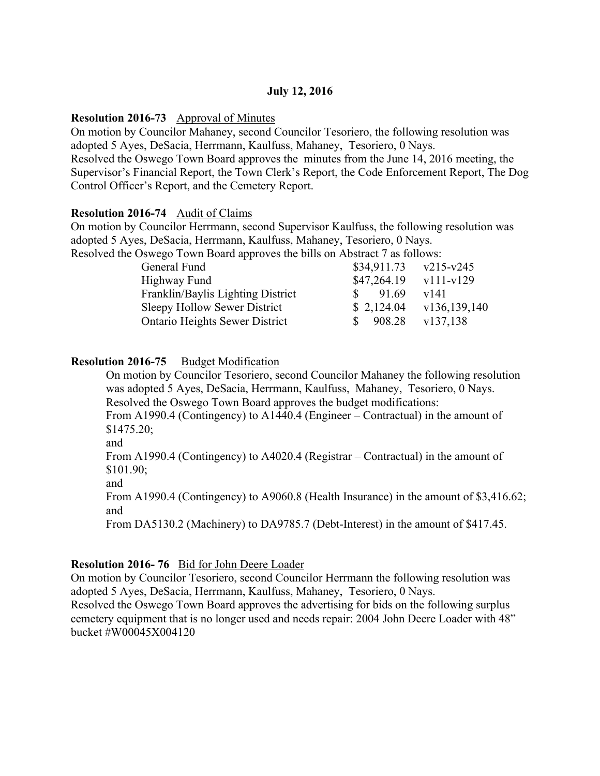# **July 12, 2016**

#### **Resolution 2016-73** Approval of Minutes

On motion by Councilor Mahaney, second Councilor Tesoriero, the following resolution was adopted 5 Ayes, DeSacia, Herrmann, Kaulfuss, Mahaney, Tesoriero, 0 Nays. Resolved the Oswego Town Board approves the minutes from the June 14, 2016 meeting, the Supervisor's Financial Report, the Town Clerk's Report, the Code Enforcement Report, The Dog Control Officer's Report, and the Cemetery Report.

#### **Resolution 2016-74** Audit of Claims

On motion by Councilor Herrmann, second Supervisor Kaulfuss, the following resolution was adopted 5 Ayes, DeSacia, Herrmann, Kaulfuss, Mahaney, Tesoriero, 0 Nays. Resolved the Oswego Town Board approves the bills on Abstract 7 as follows:

| ed the Oswego Town Board approves the bills on Abstract / as follows: |             |                        |
|-----------------------------------------------------------------------|-------------|------------------------|
| General Fund                                                          | \$34,911.73 | $v215-v245$            |
| Highway Fund                                                          | \$47,264.19 | $\frac{v111-v129}{v1}$ |
| Franklin/Baylis Lighting District                                     | 91.69<br>S. | v141                   |
| Sleepy Hollow Sewer District                                          | \$2,124.04  | v136,139,140           |
| <b>Ontario Heights Sewer District</b>                                 | 908.28      | v137,138               |
|                                                                       |             |                        |

#### **Resolution 2016-75** Budget Modification

On motion by Councilor Tesoriero, second Councilor Mahaney the following resolution was adopted 5 Ayes, DeSacia, Herrmann, Kaulfuss, Mahaney, Tesoriero, 0 Nays. Resolved the Oswego Town Board approves the budget modifications: From A1990.4 (Contingency) to A1440.4 (Engineer – Contractual) in the amount of \$1475.20; and From A1990.4 (Contingency) to A4020.4 (Registrar – Contractual) in the amount of \$101.90; and From A1990.4 (Contingency) to A9060.8 (Health Insurance) in the amount of \$3,416.62; and

From DA5130.2 (Machinery) to DA9785.7 (Debt-Interest) in the amount of \$417.45.

#### **Resolution 2016- 76** Bid for John Deere Loader

On motion by Councilor Tesoriero, second Councilor Herrmann the following resolution was adopted 5 Ayes, DeSacia, Herrmann, Kaulfuss, Mahaney, Tesoriero, 0 Nays. Resolved the Oswego Town Board approves the advertising for bids on the following surplus cemetery equipment that is no longer used and needs repair: 2004 John Deere Loader with 48" bucket #W00045X004120